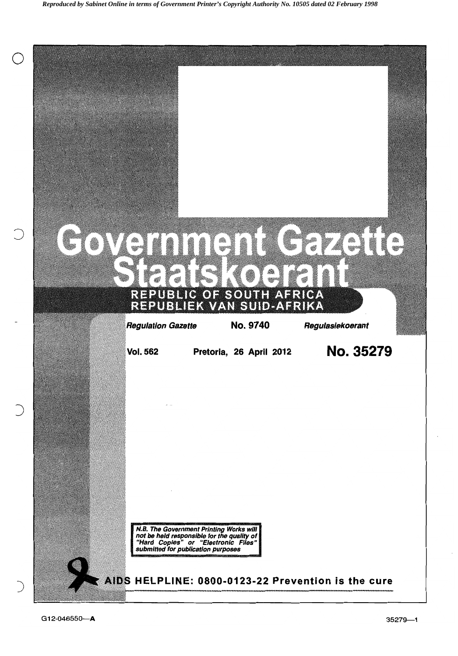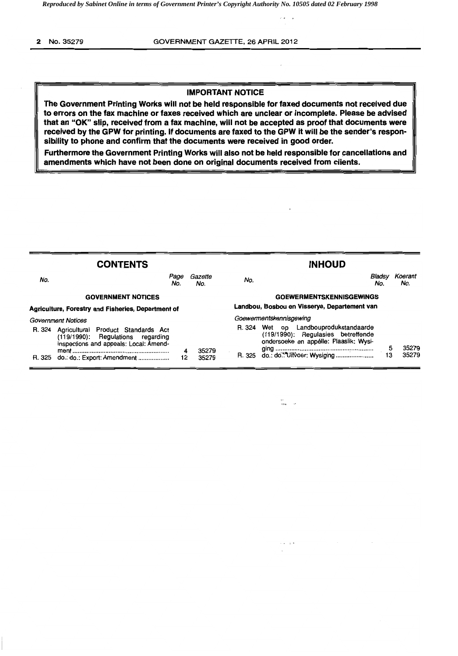*Reproduced by Sabinet Online in terms of Government Printer's Copyright Authority No. 10505 dated 02 February 1998* 

2 No.35279 GOVERNMENT GAZETTE, 26 APRIL 2012

#### IMPORTANT NOTICE

The Government Printing Works will not be held responsible for faxed documents not received due to errors on the fax machine or faxes received which are unclear or incomplete. Please be advised that an "OK" slip, received from a fax machine, will not be accepted as proof that documents were received by the GPW for printing. If documents are faxed to the GPW it will be the sender's respon sibility to phone and confirm that the documents were received in good order.

Furthermore the Government Printing Works will also not be held responsible for cancellations and amendments which have not been done on original documents received from clients.

| <b>CONTENTS</b>           |             |                                                                                                                                                                                                               |         | <b>INHOUD</b> |                                   |                                                                                                                                                                                                          |
|---------------------------|-------------|---------------------------------------------------------------------------------------------------------------------------------------------------------------------------------------------------------------|---------|---------------|-----------------------------------|----------------------------------------------------------------------------------------------------------------------------------------------------------------------------------------------------------|
|                           | Page<br>No. | Gazette<br>No.                                                                                                                                                                                                | No.     |               | Bladsy<br>No.                     | Koerant<br>No.                                                                                                                                                                                           |
| <b>GOVERNMENT NOTICES</b> |             |                                                                                                                                                                                                               |         |               |                                   |                                                                                                                                                                                                          |
|                           |             |                                                                                                                                                                                                               |         |               |                                   |                                                                                                                                                                                                          |
| <b>Government Notices</b> |             |                                                                                                                                                                                                               |         |               |                                   |                                                                                                                                                                                                          |
| R. 324                    |             | 35279<br>35279                                                                                                                                                                                                |         |               | 5<br>13                           | 35279<br>35279                                                                                                                                                                                           |
|                           |             | Agriculture, Forestry and Fisheries, Department of<br>Agricultural Product Standards Act<br>(119/1990): Regulations regarding<br>inspections and appeals: Local: Amend-<br>R. 325 do.: do.: Export: Amendment | 4<br>12 |               | Goewermentskennisgewing<br>R. 325 | <b>GOEWERMENTSKENNISGEWINGS</b><br>Landbou, Bosbou en Visserye, Departement van<br>R. 324 Wet op Landbouprodukstandaarde<br>(119/1990): Regulasies betreffende<br>ondersoeke en appélle: Plaaslik: Wysi- |

.<br>José

 $\sim$  1.  $\sim$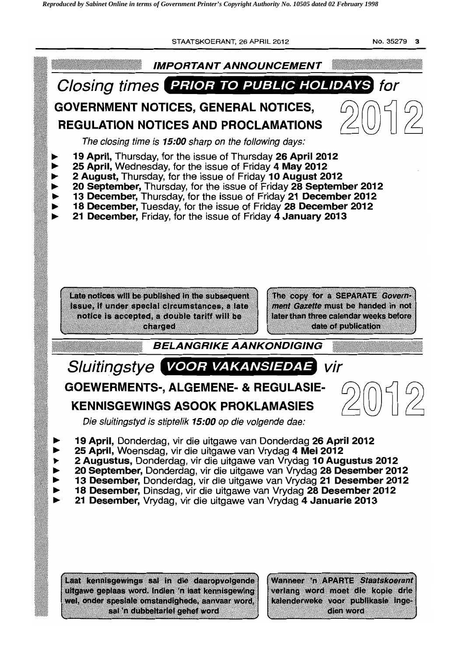

sal 'n dubbeltarief gehef word

kalenderweke voor publikasie ingedien word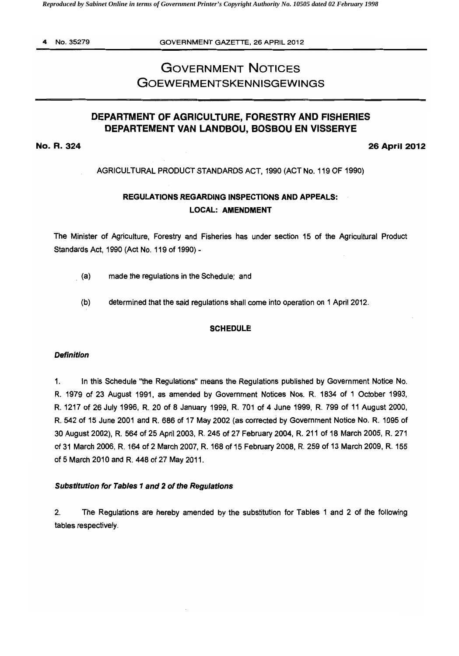4 No. 35279 GOVERNMENT GAZETTE, 26 APRIL 2012

# GOVERNMENT NOTICES **GOEWERMENTSKENNISGEWINGS**

## DEPARTMENT OF AGRICULTURE, FORESTRY AND FISHERIES DEPARTEMENT VAN LANDBOU, BOSBOU EN VISSERYE

No.R.324 26 April 2012

AGRICULTURAL PRODUCT STANDARDS ACT, 1990 (ACT No. 119 OF 1990)

## REGULATIONS REGARDING INSPECTIONS AND APPEALS: LOCAL: AMENDMENT

The Minister of Agriculture, Forestry and Fisheries has under section 15 of the Agricultural Product Standards Act, 1990 (Act No. 119 of 1990)

- . (a) made the regulations in the Schedule; and
- (b) determined that the said regulations shall come into operation on 1 April 2012.

#### **SCHEDULE**

#### Definition

1. In this Schedule "the Regulations" means the Regulations published by Government Notice No. R. 1979 of 23 August 1991, as amended by Government Notices Nos. R. 1834 of 1 October 1993, R. 1217 of 26 July 1996, R. 20 of 8 January 1999, R. 701 of 4 June 1999, R. 799 of 11 August 2000, R. 542 of 15 June 2001 and R. 686 of 17 May 2002 (as corrected by Government Notice No. R. 1095 of 30 August 2002), R. 564 of 25 April 2003, R. 245 of 27 February 2004, R. 211 of 18 March 2005, R. 271 of 31 March 2006, R. 164 of 2 March 2007, R. 168 of 15 February 2008, R. 259 of 13 March 2009, R. 155 of 5 March 2010 and R. 448 of 27 May 2011.

#### Substitution for Tables 1 and 2 of the Regulations

2. The Regulations are hereby amended by the substitution for Tables 1 and 2 of the following tables respectively.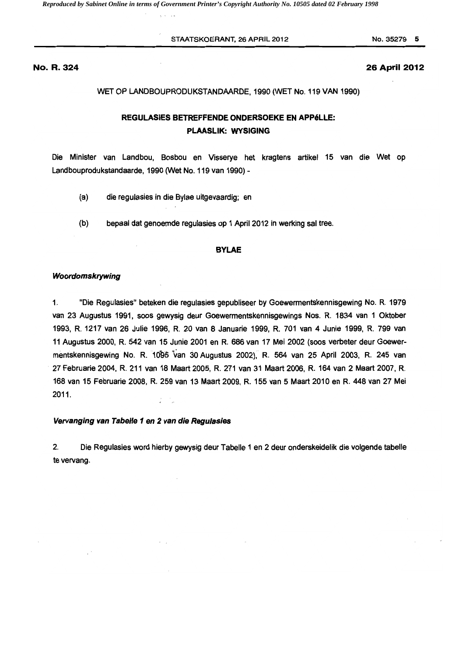#### No. R. 324 26 April 2012

WET OP LANDBOUPRODUKSTANDAARDE, 1990 (WET No. 119 VAN 1990)

## REGULASIES BETREFFENDE ONDERSOEKE EN APPÉLLE: PLAASLIK: WYSIGING

Die Minister van Landbou, Bosbou en Visserye het kragtens artikel 15 van die Wet op Landbouprodukstandaarde, 1990 (Wet No. 119 van 1990)

- (a) die regulasies in die Bylae uitgevaardig; en
- (b) bepaal dat genoemde regulasies op 1 April 2012 in werking sal tree.

#### BYLAE

#### Woordomskrywing

1. "Die Regulasies" beteken die regulasies gepubliseer by Goewermentskennisgewing No. R. 1979 van 23 Augustus 1991, soos gewysig deur Goewermentskennisgewings Nos. R. 1834 van 1 Oktober 1993, R. 1217 van 26 Julie 1996, R. 20 van 8 Januarie 1999, R. 701 van 4 Junie 1999, R. 799 van 11 Augustus 2000, R. 542 van 15 Junie 2001 en R. 686 van 17 Mei 2002 (soos verbeter deur Goewermentskennisgewing No. R.1 0'95 *\ian* 30 Augustus 2002), R. 564 van 25 April 2003, R. 245 van . 27 Februarie 2004, R. 211 van 18 Maart 2005, R. 271 van 31 Maart 2006, R. 164 van 2 Maart 2007, R. 168 van 15 Februarie 2008, R. 259 van 13 Maart 2009, R. 155 van 5 Maart 2010 en R. 448 van 27 Mei 2011.

#### Vervanging van Tabelle 1 en 2 van die Regulasies

 $\epsilon = \sqrt{\epsilon}$ 

2. Die Regulasies word hierby gewysig deur Tabelle 1 en 2 deur onderskeidelik die volgende tabelle te vervang.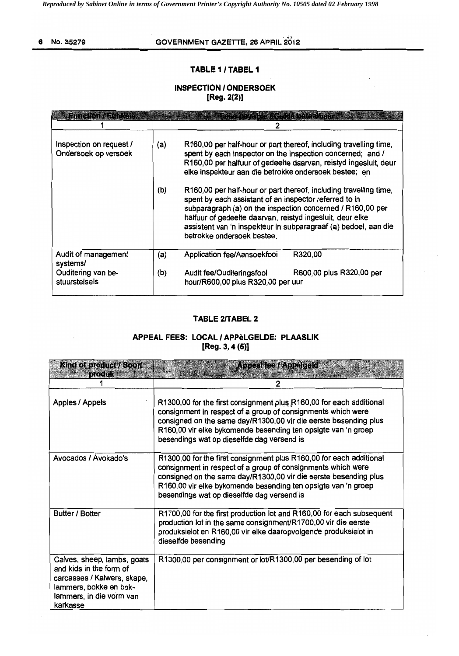*Reproduced by Sabinet Online in terms of Government Printer's Copyright Authority No. 10505 dated 02 February 1998* 

## e No.35279 GOVERNMENT GAZETTE, 26 APRIL '2012

#### TABLE 1 / TABEL 1

### INSPECTION / ONDERSOEK [Reg. 2(2)]

| <b>Function/Funksie.</b>                        | Fass payable / Galde Detaalbaar                                                                                                                                                                                                                                                                                                                                |
|-------------------------------------------------|----------------------------------------------------------------------------------------------------------------------------------------------------------------------------------------------------------------------------------------------------------------------------------------------------------------------------------------------------------------|
|                                                 |                                                                                                                                                                                                                                                                                                                                                                |
| Inspection on request /<br>Ondersoek op versoek | (a)<br>R160,00 per half-hour or part thereof, including travelling time,<br>spent by each inspector on the inspection concerned; and /<br>R160,00 per halfuur of gedeelte daarvan, reistyd ingesluit, deur<br>elke inspekteur aan die betrokke ondersoek bestee; en                                                                                            |
|                                                 | (b)<br>R160,00 per half-hour or part thereof, including travelling time,<br>spent by each assistant of an inspector referred to in<br>subparagraph (a) on the inspection concerned / R160,00 per<br>halfuur of gedeelte daarvan, reistyd ingesluit, deur elke<br>assistent van 'n inspekteur in subparagraaf (a) bedoel, aan die<br>betrokke ondersoek bestee. |
| Audit of management<br>systems/                 | R320,00<br>(a)<br>Application fee/Aansoekfooi                                                                                                                                                                                                                                                                                                                  |
| Ouditering van be-<br>stuurstelsels             | (b)<br>R600,00 plus R320,00 per<br>Audit fee/Ouditeringsfooi<br>hour/R600,00 plus R320,00 per uur                                                                                                                                                                                                                                                              |

### TABLE 2ITABEl 2

#### APPEAL FEES: lOCAL I APPelGElDE: PlAASllK [Reg. 3, 4 (5)]

| Kind of product / Soort<br>produk                                                                                                                       | <b>Appeal fee / Appelgeld</b>                                                                                                                                                                                                                                                                                          |
|---------------------------------------------------------------------------------------------------------------------------------------------------------|------------------------------------------------------------------------------------------------------------------------------------------------------------------------------------------------------------------------------------------------------------------------------------------------------------------------|
|                                                                                                                                                         | 2                                                                                                                                                                                                                                                                                                                      |
| Apples / Appels                                                                                                                                         | R1300,00 for the first consignment plus R160,00 for each additional<br>consignment in respect of a group of consignments which were<br>consigned on the same day/R1300,00 vir die eerste besending plus<br>R160,00 vir elke bykomende besending ten opsigte van 'n groep<br>besendings wat op dieselfde dag versend is |
| Avocados / Avokado's                                                                                                                                    | R1300,00 for the first consignment plus R160,00 for each additional<br>consignment in respect of a group of consignments which were<br>consigned on the same day/R1300,00 vir die eerste besending plus<br>R160,00 vir elke bykomende besending ten opsigte van 'n groep<br>besendings wat op dieselfde dag versend is |
| Butter / Botter                                                                                                                                         | R1700,00 for the first production lot and R160,00 for each subsequent<br>production lot in the same consignment/R1700,00 vir die eerste<br>produksielot en R160,00 vir elke daaropvolgende produksielot in<br>dieselfde besending                                                                                      |
| Calves, sheep, lambs, goats<br>and kids in the form of<br>carcasses / Kalwers, skape,<br>lammers, bokke en bok-<br>lammers, in die vorm van<br>karkasse | R1300,00 per consignment or lot/R1300,00 per besending of lot                                                                                                                                                                                                                                                          |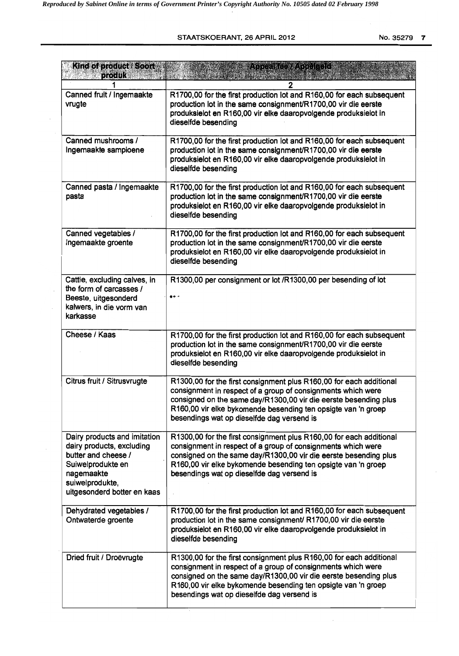| Kind of product / Soort<br>produk                                                                                                                                     | Appeal for Angelado                                                                                                                                                                                                                                                                                                    |
|-----------------------------------------------------------------------------------------------------------------------------------------------------------------------|------------------------------------------------------------------------------------------------------------------------------------------------------------------------------------------------------------------------------------------------------------------------------------------------------------------------|
| Canned fruit / Ingemaakte<br>vrugte                                                                                                                                   | R1700,00 for the first production lot and R160,00 for each subsequent<br>production lot in the same consignment/R1700,00 vir die eerste<br>produksielot en R160,00 vir elke daaropvolgende produksielot in<br>dieselfde besending                                                                                      |
| Canned mushrooms /<br>Ingemaakte sampioene                                                                                                                            | R1700,00 for the first production lot and R160,00 for each subsequent<br>production lot in the same consignment/R1700,00 vir die eerste<br>produksielot en R160,00 vir elke daaropvolgende produksielot in<br>dieselfde besending                                                                                      |
| Canned pasta / Ingemaakte<br>pasta                                                                                                                                    | R1700,00 for the first production lot and R160,00 for each subsequent<br>production lot in the same consignment/R1700,00 vir die eerste<br>produksielot en R160,00 vir elke daaropvolgende produksielot in<br>dieselfde besending                                                                                      |
| Canned vegetables /<br>Ingemaakte groente                                                                                                                             | R1700,00 for the first production lot and R160,00 for each subsequent<br>production lot in the same consignment/R1700,00 vir die eerste<br>produksielot en R160,00 vir elke daaropvolgende produksielot in<br>dieselfde besending                                                                                      |
| Cattle, excluding calves, in<br>the form of carcasses /<br>Beeste, uitgesonderd<br>kalwers, in die vorm van<br>karkasse                                               | R1300,00 per consignment or lot /R1300,00 per besending of lot<br>$\bullet\bullet\bullet$                                                                                                                                                                                                                              |
| Cheese / Kaas                                                                                                                                                         | R1700,00 for the first production lot and R160,00 for each subsequent<br>production lot in the same consignment/R1700,00 vir die eerste<br>produksielot en R160,00 vir elke daaropvolgende produksielot in<br>dieselfde besending                                                                                      |
| Citrus fruit / Sitrusvrugte                                                                                                                                           | R1300,00 for the first consignment plus R160,00 for each additional<br>consignment in respect of a group of consignments which were<br>consigned on the same day/R1300,00 vir die eerste besending plus<br>R160,00 vir elke bykomende besending ten opsigte van 'n groep<br>besendings wat op dieselfde dag versend is |
| Dairy products and imitation<br>dairy products, excluding<br>butter and cheese /<br>Suiwelprodukte en<br>nagemaakte<br>suiwelprodukte,<br>uitgesonderd botter en kaas | R1300,00 for the first consignment plus R160,00 for each additional<br>consignment in respect of a group of consignments which were<br>consigned on the same day/R1300,00 vir die eerste besending plus<br>R160,00 vir elke bykomende besending ten opsigte van 'n groep<br>besendings wat op dieselfde dag versend is |
| Dehydrated vegetables /<br>Ontwaterde groente                                                                                                                         | R1700,00 for the first production lot and R160,00 for each subsequent<br>production lot in the same consignment/ R1700,00 vir die eerste<br>produksielot en R160,00 vir elke daaropvolgende produksielot in<br>dieselfde besending                                                                                     |
| Dried fruit / Droëvrugte                                                                                                                                              | R1300,00 for the first consignment plus R160,00 for each additional<br>consignment in respect of a group of consignments which were<br>consigned on the same day/R1300,00 vir die eerste besending plus<br>R160,00 vir elke bykomende besending ten opsigte van 'n groep<br>besendings wat op dieselfde dag versend is |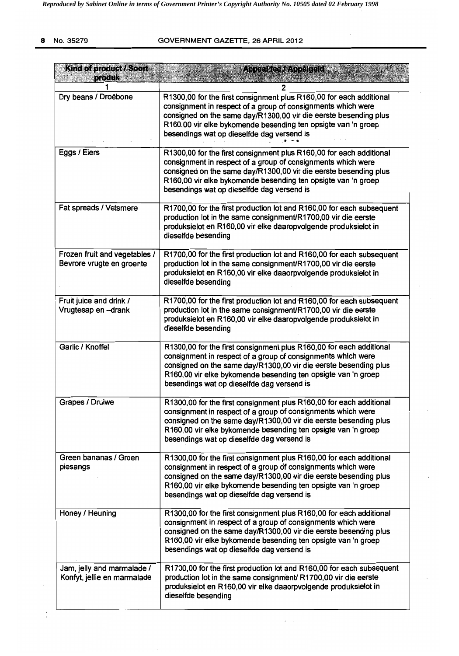$\overline{\phantom{a}}$ 

8 No.35279 GOVERNMENT GAZETTE, 26 APRIL 2012

| Kind of product / Soort<br>produk                          | <b>Appeal fee / Appelgeld</b>                                                                                                                                                                                                                                                                                          |
|------------------------------------------------------------|------------------------------------------------------------------------------------------------------------------------------------------------------------------------------------------------------------------------------------------------------------------------------------------------------------------------|
| Dry beans / Droëbone                                       | R1300,00 for the first consignment plus R160,00 for each additional<br>consignment in respect of a group of consignments which were<br>consigned on the same day/R1300,00 vir die eerste besending plus<br>R160,00 vir elke bykomende besending ten opsigte van 'n groep<br>besendings wat op dieselfde dag versend is |
| Eggs / Eiers                                               | R1300,00 for the first consignment plus R160,00 for each additional<br>consignment in respect of a group of consignments which were<br>consigned on the same day/R1300,00 vir die eerste besending plus<br>R160,00 vir elke bykomende besending ten opsigte van 'n groep<br>besendings wat op dieselfde dag versend is |
| Fat spreads / Vetsmere                                     | R1700,00 for the first production lot and R160,00 for each subsequent<br>production lot in the same consignment/R1700,00 vir die eerste<br>produksielot en R160,00 vir elke daaropvolgende produksielot in<br>dieselfde besending                                                                                      |
| Frozen fruit and vegetables /<br>Bevrore vrugte en groente | R1700,00 for the first production lot and R160,00 for each subsequent<br>production lot in the same consignment/R1700,00 vir die eerste<br>produksielot en R160,00 vir elke daaorpvolgende produksielot in<br>dieselfde besending                                                                                      |
| Fruit juice and drink /<br>Vrugtesap en -drank             | R1700,00 for the first production lot and R160,00 for each subsequent<br>production lot in the same consignment/R1700,00 vir die eerste<br>produksielot en R160,00 vir elke daaropvolgende produksielot in<br>dieselfde besending                                                                                      |
| Garlic / Knoffel                                           | R1300,00 for the first consignment plus R160,00 for each additional<br>consignment in respect of a group of consignments which were<br>consigned on the same day/R1300,00 vir die eerste besending plus<br>R160,00 vir elke bykomende besending ten opsigte van 'n groep<br>besendings wat op dieselfde dag versend is |
| Grapes / Druiwe                                            | R1300,00 for the first consignment plus R160,00 for each additional<br>consignment in respect of a group of consignments which were<br>consigned on the same day/R1300,00 vir die eerste besending plus<br>R160,00 vir elke bykomende besending ten opsigte van 'n groep<br>besendings wat op dieselfde dag versend is |
| Green bananas / Groen<br>piesangs                          | R1300,00 for the first consignment plus R160,00 for each additional<br>consignment in respect of a group of consignments which were<br>consigned on the same day/R1300,00 vir die eerste besending plus<br>R160,00 vir elke bykomende besending ten opsigte van 'n groep<br>besendings wat op dieselfde dag versend is |
| Honey / Heuning                                            | R1300,00 for the first consignment plus R160,00 for each additional<br>consignment in respect of a group of consignments which were<br>consigned on the same day/R1300,00 vir die eerste besending plus<br>R160,00 vir elke bykomende besending ten opsigte van 'n groep<br>besendings wat op dieselfde dag versend is |
| Jam, jelly and marmalade /<br>Konfyt, jellie en marmalade  | R1700,00 for the first production lot and R160,00 for each subsequent<br>production lot in the same consignment/ R1700,00 vir die eerste<br>produksielot en R160,00 vir elke daaorpvolgende produksielot in<br>dieselfde besending                                                                                     |

 $\epsilon = \epsilon$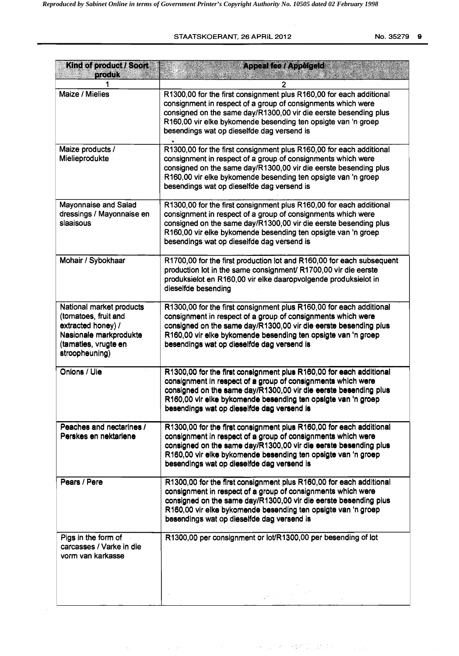| Kind of product / Soort<br>produk                                                                                                          | <b>Appeal fee / Appelgeld</b>                                                                                                                                                                                                                                                                                          |
|--------------------------------------------------------------------------------------------------------------------------------------------|------------------------------------------------------------------------------------------------------------------------------------------------------------------------------------------------------------------------------------------------------------------------------------------------------------------------|
| Maize / Mielies                                                                                                                            | R1300,00 for the first consignment plus R160,00 for each additional<br>consignment in respect of a group of consignments which were<br>consigned on the same day/R1300,00 vir die eerste besending plus<br>R160,00 vir elke bykomende besending ten opsigte van 'n groep<br>besendings wat op dieselfde dag versend is |
| Maize products /<br>Mielieprodukte                                                                                                         | R1300,00 for the first consignment plus R160,00 for each additional<br>consignment in respect of a group of consignments which were<br>consigned on the same day/R1300,00 vir die eerste besending plus<br>R160,00 vir elke bykomende besending ten opsigte van 'n groep<br>besendings wat op dieselfde dag versend is |
| Mayonnaise and Salad<br>dressings / Mayonnaise en<br>slaaisous                                                                             | R1300,00 for the first consignment plus R160,00 for each additional<br>consignment in respect of a group of consignments which were<br>consigned on the same day/R1300,00 vir die eerste besending plus<br>R160,00 vir elke bykomende besending ten opsigte van 'n groep<br>besendings wat op dieselfde dag versend is |
| Mohair / Sybokhaar                                                                                                                         | R1700,00 for the first production lot and R160,00 for each subsequent<br>production lot in the same consignment/ R1700,00 vir die eerste<br>produksielot en R160,00 vir elke daaropvolgende produksielot in<br>dieselfde besending                                                                                     |
| National market products<br>(tomatoes, fruit and<br>extracted honey) /<br>Nasionale markprodukte<br>(tamaties, vrugte en<br>stroopheuning) | R1300,00 for the first consignment plus R160,00 for each additional<br>consignment in respect of a group of consignments which were<br>consigned on the same day/R1300,00 vir die eerste besending plus<br>R160,00 vir elke bykomende besending ten opsigte van 'n groep<br>besendings wat op dieselfde dag versend is |
| Onions / Uie                                                                                                                               | R1300,00 for the first consignment plus R160,00 for each additional<br>consignment in respect of a group of consignments which were<br>consigned on the same day/R1300,00 vir die eerste besending plus<br>R160,00 vir elke bykomende besending ten opsigte van 'n groep<br>besendings wat op dieselfde dag versend is |
| Peaches and nectarines /<br>Perskes en nektariene                                                                                          | R1300,00 for the first consignment plus R160,00 for each additional<br>consignment in respect of a group of consignments which were<br>consigned on the same day/R1300,00 vir die eerste besending plus<br>R160,00 vir eike bykomende besending ten opsigte van 'n groep<br>besendings wat op dieselfde dag versend is |
| Pears / Pere                                                                                                                               | R1300,00 for the first consignment plus R160,00 for each additional<br>consignment in respect of a group of consignments which were<br>consigned on the same day/R1300,00 vir die eerste besending plus<br>R160,00 vir elke bykomende besending ten opsigte van 'n groep<br>besendings wat op dieselfde dag versend is |
| Pigs in the form of<br>carcasses / Varke in die<br>vorm van karkasse                                                                       | R1300,00 per consignment or lot/R1300,00 per besending of lot                                                                                                                                                                                                                                                          |
|                                                                                                                                            |                                                                                                                                                                                                                                                                                                                        |

 $\mathcal{L}_{\mathcal{A}}(\mathcal{L}_{\mathcal{A}}(\mathcal{L}_{\mathcal{A}}(\mathcal{L}_{\mathcal{A}}(\mathcal{L}_{\mathcal{A}}(\mathcal{L}_{\mathcal{A}}(\mathcal{L}_{\mathcal{A}}(\mathcal{L}_{\mathcal{A}}(\mathcal{L}_{\mathcal{A}}(\mathcal{L}_{\mathcal{A}}(\mathcal{L}_{\mathcal{A}}(\mathcal{L}_{\mathcal{A}}(\mathcal{L}_{\mathcal{A}}(\mathcal{L}_{\mathcal{A}}(\mathcal{L}_{\mathcal{A}}(\mathcal{L}_{\mathcal{A}}(\mathcal{L}_{\mathcal{A}}(\mathcal{L}_{\mathcal{A}}(\mathcal{$ 

 $\sim$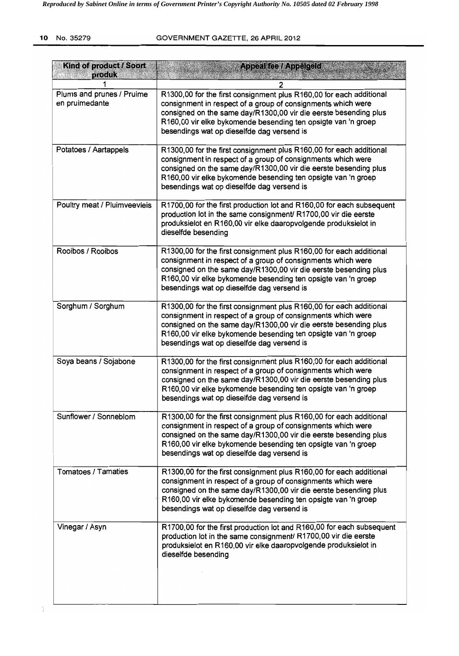10 No.35279 GOVERNMENT GAZETTE, 26 APRIL 2012

| Kind of product / Soort<br>produk           | <b>Appeal fee / Appelgeld</b>                                                                                                                                                                                                                                                                                               |
|---------------------------------------------|-----------------------------------------------------------------------------------------------------------------------------------------------------------------------------------------------------------------------------------------------------------------------------------------------------------------------------|
| Plums and prunes / Pruime<br>en pruimedante | 2<br>R1300,00 for the first consignment plus R160,00 for each additional<br>consignment in respect of a group of consignments which were<br>consigned on the same day/R1300,00 vir die eerste besending plus<br>R160,00 vir elke bykomende besending ten opsigte van 'n groep<br>besendings wat op dieselfde dag versend is |
| Potatoes / Aartappels                       | R1300,00 for the first consignment plus R160,00 for each additional<br>consignment in respect of a group of consignments which were<br>consigned on the same day/R1300,00 vir die eerste besending plus<br>R160,00 vir elke bykomende besending ten opsigte van 'n groep<br>besendings wat op dieselfde dag versend is      |
| Poultry meat / Pluimveevleis                | R1700,00 for the first production lot and R160,00 for each subsequent<br>production lot in the same consignment/ R1700,00 vir die eerste<br>produksielot en R160,00 vir elke daaropvolgende produksielot in<br>dieselfde besending                                                                                          |
| Rooibos / Rooibos                           | R1300,00 for the first consignment plus R160,00 for each additional<br>consignment in respect of a group of consignments which were<br>consigned on the same day/R1300,00 vir die eerste besending plus<br>R160,00 vir elke bykomende besending ten opsigte van 'n groep<br>besendings wat op dieselfde dag versend is      |
| Sorghum / Sorghum                           | R1300,00 for the first consignment plus R160,00 for each additional<br>consignment in respect of a group of consignments which were<br>consigned on the same day/R1300,00 vir die eerste besending plus<br>R160,00 vir elke bykomende besending ten opsigte van 'n groep<br>besendings wat op dieselfde dag versend is      |
| Soya beans / Sojabone                       | R1300,00 for the first consignment plus R160,00 for each additional<br>consignment in respect of a group of consignments which were<br>consigned on the same day/R1300,00 vir die eerste besending plus<br>R160,00 vir elke bykomende besending ten opsigte van 'n groep<br>besendings wat op dieselfde dag versend is      |
| Sunflower / Sonneblom                       | R1300,00 for the first consignment plus R160,00 for each additional<br>consignment in respect of a group of consignments which were<br>consigned on the same day/R1300,00 vir die eerste besending plus<br>R160,00 vir elke bykomende besending ten opsigte van 'n groep<br>besendings wat op dieselfde dag versend is      |
| Tomatoes / Tamaties                         | R1300,00 for the first consignment plus R160,00 for each additional<br>consignment in respect of a group of consignments which were<br>consigned on the same day/R1300,00 vir die eerste besending plus<br>R160,00 vir elke bykomende besending ten opsigte van 'n groep<br>besendings wat op dieselfde dag versend is      |
| Vinegar / Asyn                              | R1700,00 for the first production lot and R160,00 for each subsequent<br>production lot in the same consignment/ R1700,00 vir die eerste<br>produksielot en R160,00 vir elke daaropvolgende produksielot in<br>dieselfde besending                                                                                          |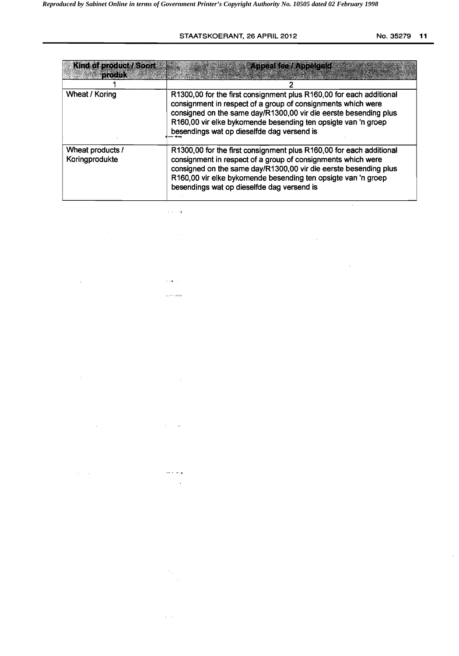$\sim$ 

| Kind of product/Soort<br>produk    | <b>Appeal fee (Appelee d)</b><br><b>Bang and Contract Contract of the Contract of the Contract of the Contract of the Contract of the Contract of</b>                                                                                                                                                                  |
|------------------------------------|------------------------------------------------------------------------------------------------------------------------------------------------------------------------------------------------------------------------------------------------------------------------------------------------------------------------|
|                                    |                                                                                                                                                                                                                                                                                                                        |
| Wheat / Koring                     | R1300,00 for the first consignment plus R160,00 for each additional<br>consignment in respect of a group of consignments which were<br>consigned on the same day/R1300,00 vir die eerste besending plus<br>R160,00 vir elke bykomende besending ten opsigte van 'n groep<br>besendings wat op dieselfde dag versend is |
| Wheat products /<br>Koringprodukte | R1300,00 for the first consignment plus R160,00 for each additional<br>consignment in respect of a group of consignments which were<br>consigned on the same day/R1300,00 vir die eerste besending plus<br>R160,00 vir elke bykomende besending ten opsigte van 'n groep<br>besendings wat op dieselfde dag versend is |

 $\mathcal{L}^{\text{max}}_{\text{max}}$ 

 $\mathbb{R}^2$ 

 $\langle \cdot, \cdot \rangle$  ,  $\langle \cdot, \cdot \rangle$ 

 $\mathcal{L}^{\text{max}}_{\text{max}}$  ,  $\mathcal{L}^{\text{max}}_{\text{max}}$ 

 $\mathcal{O}(\mathcal{O}(\log n))$  $\varphi_{\rm tot}(\vec{r})$  categor

 $\sim 10^{-11}$ 

 $\sim$   $\sim$ 

 $\omega_{\rm c}$  ,  $\omega_{\rm c}$  $\sim 10$ 

 $\frac{1}{\sqrt{2}}$ 

 $\hat{\mathcal{A}}$  ,  $\hat{\mathcal{A}}$ 

 $\mathcal{L}(\mathbf{x})$  and  $\mathcal{L}(\mathbf{x})$  are  $\mathcal{L}(\mathbf{x})$  . Then  $\mathcal{L}(\mathbf{x})$ 

 $\mathcal{L}(\mathcal{A})$  and  $\mathcal{L}(\mathcal{A})$ 

 $\mathcal{L}^{\text{max}}_{\text{max}}$ 

 $\mathcal{O}(\mathcal{A})$  , and  $\mathcal{O}(\mathcal{A})$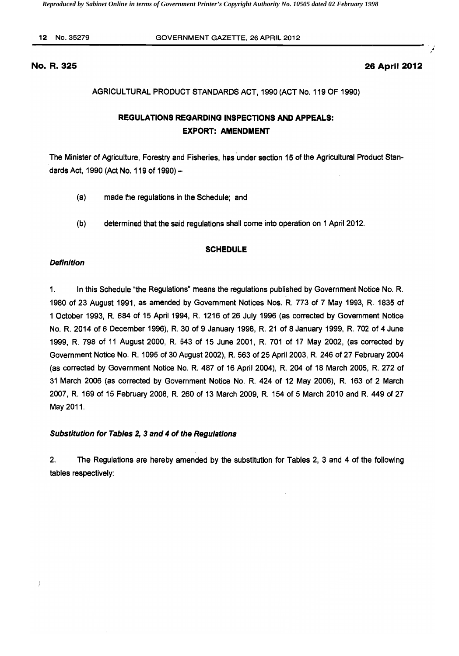12 NO.35279 GOVERNMENT GAZETIE, 26 APRIL 2012

#### No. R. 325 26 April 2012

#### AGRICULTURAL PRODUCT STANDARDS ACT, 1990 (ACT No. 119 OF 1990)

## REGULATIONS REGARDING INSPECTIONS AND APPEALS: EXPORT: AMENDMENT

The Minister of Agriculture, Forestry and Fisheries, has under section 15 of the Agricultural Product Standards Act, 1990 (Act No. 119 of 1990)

- (a) made the regulations in the Schedule; and
- (b) determined that the said regulations shall come into operation on 1 April 2012.

#### **SCHEDULE**

#### Definition

1. In this Schedule "the Regulations" means the regulations published by Government Notice No. R. 1980 of 23 August 1991, as amended by Government Notices Nos. R. 773 of 7 May 1993, R. 1835 of 1 October 1993, R. 684 of 15 April 1994, R. 1216 of 26 July 1996 (as corrected by Government Notice No. R. 2014 of 6 December 1996), R. 30 of 9 January 1998, R. 21 of 8 January 1999, R. 702 of 4 June 1999, R. 798 of 11 August 2000, R. 543 of 15 June 2001, R. 701 of 17 May 2002, (as corrected by Government Notice No. R. 1095 of 30 August 2002), R. 563 of 25 April 2003, R. 246 of 27 February 2004 (as corrected by Government Notice No. R. 487 of 16 April 2004), R. 204 of 18 March 2005, R. 272 of 31 March 2006 (as corrected by Government Notice No. R. 424 of 12 May 2006), R. 163 of 2 March 2007, R. 169 of 15 February 2008, R. 260 of 13 March 2009, R. 154 of 5 March 2010 and R. 449 of 27 May 2011,

#### Substitution for Tables 2, 3 and 4 of the Regulations

2. The Regulations are hereby amended by the substitution for Tables 2, 3 and 4 of the following tables respectively: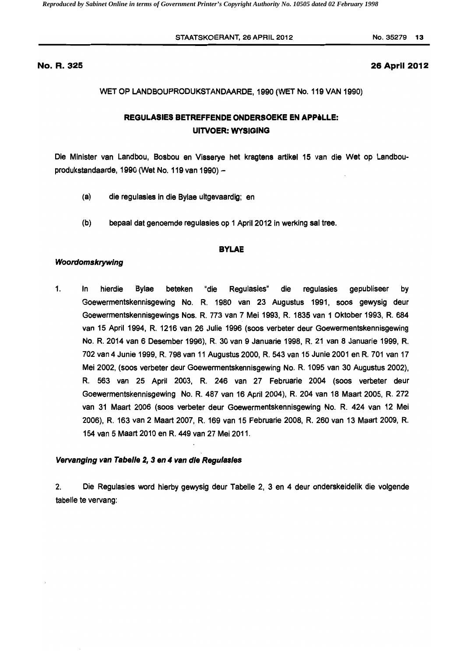#### No. R. 325 26 April 2012

WET OP LANDBOUPRODUKSTANDAARDE, 1990 (WET No. 119 VAN 1990)

## REGULASIES BETREFFENDE ONDERSOEKE EN APPILLE: UITVOER: WYSIGING

Ole Minister van Landbou, Bosbou en Visserye het kragtens artikel 15 van die Wet op Landbouprodukstandaarde, 1990 (Wet No. 119 van 1990)

- (a) die regulasles in die Bylae uitgevaardig; en
- (b) bepaal dat genoemde regulasles op 1 April 2012 in werking sal tree.

#### BYLAE

#### Woordomskrywing

1. In hierdie Bylae beteken "die Regulasies" die regulasies gepubliseer by Goewermentskennisgewing No. R. 1980 van 23 Augustus 1991, soos gewysig deur Goewermentskennlsgewings Nos. R. 773 van 7 Mel 1993, R. 1835 van 1 Oktober 1993, R. 684 van 15 April 1994, R. 1216 van 26 Julie 1996 (saos verbeter deur Goewermentskennisgewing No. R. 2014 van 6 Desember 1996), R. 30 van 9 Januarie 1998, R. 21 van 8 Januarie 1999, R. 702 van 4 Junie 1999, R. 798 van 11 Augustus 2000, R. 543 van 15 Junie 2001 en R. 701 van 17 Mel 2002, (soos verbeter deur Goewermentskennlsgewlng No. R. 1095 van 30 Augustus 2002), R. 563 van 25 April 2003, R. 246 van 27 Februarie 2004 (soos verbeter deur Goewermentskennisgewlng No. R. 487 van 16 April 2004). R. 204 van 18 Maart 2005, R. 272 van 31 Maart 2006 (soos verbeter deur Goewermentskennlsgewing No. R. 424 van 12 Mel 2006). R. 163 van 2 Maart 2007. R. 169 van 15 Februarie 2008, R. 260 van 13 Maart 2009, R. 154 van 5 Maart 2010 en R. 449 van 27 Mel 2011.

### Vervanging van Tabelle 2, 3 en 4 van die Regulasies

2. Die Regulasies word hierby gewysig deur Tabelle 2, 3 en 4 deur onderskeidelik die volgende tabelle te vervang: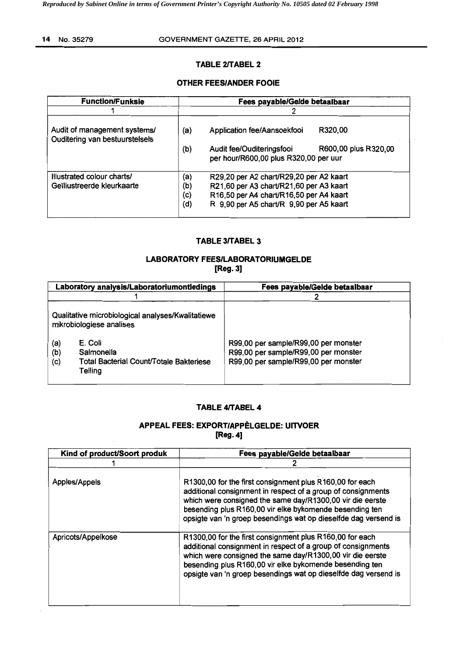14 NO.35279 GOVERNMENT GAZETTE, 26 APRIL 2012

#### TABLE 2/TABEL 2

#### OTHER FEES/ANDER FOOIE

| <b>Function/Funksie</b>                                        | Fees payable/Gelde betaalbaar                                                                                                                                                                        |  |
|----------------------------------------------------------------|------------------------------------------------------------------------------------------------------------------------------------------------------------------------------------------------------|--|
|                                                                | 2                                                                                                                                                                                                    |  |
| Audit of management systems/<br>Ouditering van bestuurstelsels | (a)<br>Application fee/Aansoekfooi<br>R320,00                                                                                                                                                        |  |
|                                                                | (b)<br>Audit fee/Ouditeringsfooi<br>R600,00 plus R320,00<br>per hour/R600,00 plus R320,00 per uur                                                                                                    |  |
| Illustrated colour charts/<br>Geïllustreerde kleurkaarte       | (a)<br>R29,20 per A2 chart/R29,20 per A2 kaart<br>R21,60 per A3 chart/R21,60 per A3 kaart<br>(b)<br>(c)<br>R16,50 per A4 chart/R16,50 per A4 kaart<br>R 9,90 per A5 chart/R 9,90 per A5 kaart<br>(d) |  |

#### TABLE 3/TABEL 3

### LABORATORY FEESlLABORATORIUMGELDE [Reg. 3]

| Laboratory analysis/Laboratoriumontledings                                                       | Fees payable/Gelde betaalbaar                                                                                        |
|--------------------------------------------------------------------------------------------------|----------------------------------------------------------------------------------------------------------------------|
|                                                                                                  |                                                                                                                      |
| Qualitative microbiological analyses/Kwalitatiewe<br>mikrobiologiese analises                    |                                                                                                                      |
| (a)<br>E. Coli<br>(b)<br>Salmonella<br>(c)<br>Total Bacterial Count/Totale Bakteriese<br>Telling | R99,00 per sample/R99,00 per monster<br>R99,00 per sample/R99,00 per monster<br>R99,00 per sample/R99,00 per monster |

#### TABLE 4/TABEL 4

#### APPEAL FEES: EXPORT/APPELGELDE: UITVOER [Reg. 4]

| Kind of product/Soort produk | Fees payable/Gelde betaalbaar                                                                                                                                                                                                                                                                                       |
|------------------------------|---------------------------------------------------------------------------------------------------------------------------------------------------------------------------------------------------------------------------------------------------------------------------------------------------------------------|
|                              |                                                                                                                                                                                                                                                                                                                     |
| Apples/Appels                | R1300,00 for the first consignment plus R160,00 for each<br>additional consignment in respect of a group of consignments<br>which were consigned the same day/R1300,00 vir die eerste<br>besending plus R160,00 vir elke bykomende besending ten<br>opsigte van 'n groep besendings wat op dieselfde dag versend is |
| Apricots/Appelkose           | R1300,00 for the first consignment plus R160,00 for each<br>additional consignment in respect of a group of consignments<br>which were consigned the same day/R1300,00 vir die eerste<br>besending plus R160,00 vir elke bykomende besending ten<br>opsigte van 'n groep besendings wat op dieselfde dag versend is |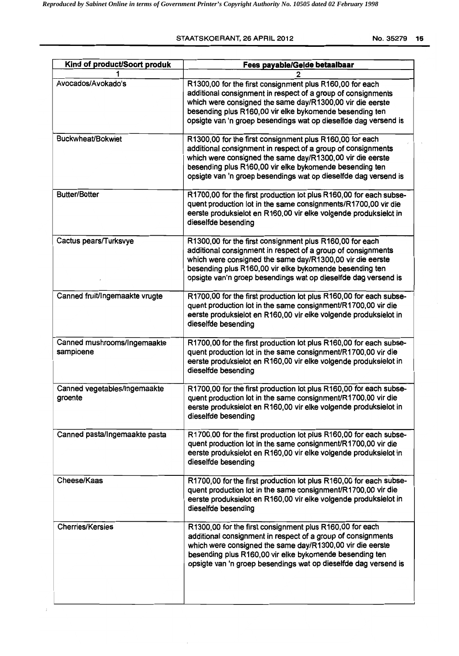| Kind of product/Soort produk             | Fees payable/Gelde betaalbaar                                                                                                                                                                                                                                                                                       |
|------------------------------------------|---------------------------------------------------------------------------------------------------------------------------------------------------------------------------------------------------------------------------------------------------------------------------------------------------------------------|
|                                          |                                                                                                                                                                                                                                                                                                                     |
| Avocados/Avokado's                       | R1300,00 for the first consignment plus R160,00 for each<br>additional consignment in respect of a group of consignments<br>which were consigned the same day/R1300,00 vir die eerste<br>besending plus R160,00 vir elke bykomende besending ten<br>opsigte van 'n groep besendings wat op dieselfde dag versend is |
| Buckwheat/Bokwiet                        | R1300,00 for the first consignment plus R160,00 for each<br>additional consignment in respect of a group of consignments<br>which were consigned the same day/R1300,00 vir die eerste<br>besending plus R160,00 vir elke bykomende besending ten<br>opsigte van 'n groep besendings wat op dieselfde dag versend is |
| <b>Butter/Botter</b>                     | R1700,00 for the first production lot plus R160,00 for each subse-<br>quent production lot in the same consignments/R1700,00 vir die<br>eerste produksielot en R160,00 vir elke volgende produksielot in<br>dieselfde besending                                                                                     |
| Cactus pears/Turksvye                    | R1300,00 for the first consignment plus R160,00 for each<br>additional consignment in respect of a group of consignments<br>which were consigned the same day/R1300,00 vir die eerste<br>besending plus R160,00 vir elke bykomende besending ten<br>opsigte van'n groep besendings wat op dieselfde dag versend is  |
| Canned fruit/Ingemaakte vrugte           | R1700,00 for the first production lot plus R160,00 for each subse-<br>quent production lot in the same consignment/R1700,00 vir die<br>eerste produksielot en R160,00 vir elke volgende produksielot in<br>dieselfde besending                                                                                      |
| Canned mushrooms/Ingemaakte<br>sampioene | R1700,00 for the first production lot plus R160,00 for each subse-<br>quent production lot in the same consignment/R1700,00 vir die<br>eerste produksielot en R160,00 vir elke volgende produksielot in<br>dieselfde besending                                                                                      |
| Canned vegetables/Ingemaakte<br>groente  | R1700,00 for the first production lot plus R160,00 for each subse-<br>quent production lot in the same consignment/R1700,00 vir die<br>eerste produksielot en R160,00 vir elke volgende produksielot in<br>dieselfde besending                                                                                      |
| Canned pasta/Ingemaakte pasta            | R1700,00 for the first production lot plus R160,00 for each subse-<br>quent production lot in the same consignment/R1700,00 vir die<br>eerste produksielot en R160,00 vir elke volgende produksielot in<br>dieselfde besending                                                                                      |
| Cheese/Kaas                              | R1700,00 for the first production lot plus R160,00 for each subse-<br>quent production lot in the same consignment/R1700,00 vir die<br>eerste produksielot en R160,00 vir elke volgende produksielot in<br>dieselfde besending                                                                                      |
| <b>Cherries/Kersies</b>                  | R1300,00 for the first consignment plus R160,00 for each<br>additional consignment in respect of a group of consignments<br>which were consigned the same day/R1300,00 vir die eerste<br>besending plus R160,00 vir elke bykomende besending ten<br>opsigte van 'n groep besendings wat op dieselfde dag versend is |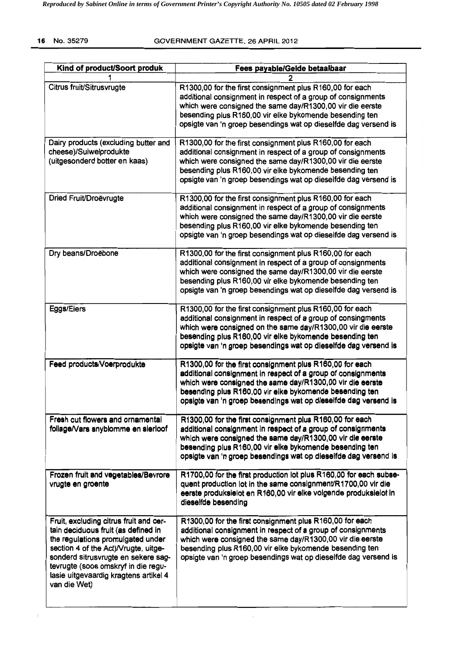16 No.35279 GOVERNMENT GAZETTE, 26 APRIL 2012

| Kind of product/Soort produk                                                                                                                                                                                                                                                                      | Fees payable/Gelde betaalbaar                                                                                                                                                                                                                                                                                          |
|---------------------------------------------------------------------------------------------------------------------------------------------------------------------------------------------------------------------------------------------------------------------------------------------------|------------------------------------------------------------------------------------------------------------------------------------------------------------------------------------------------------------------------------------------------------------------------------------------------------------------------|
|                                                                                                                                                                                                                                                                                                   |                                                                                                                                                                                                                                                                                                                        |
| Citrus fruit/Sitrusvrugte                                                                                                                                                                                                                                                                         | R1300,00 for the first consignment plus R160,00 for each<br>additional consignment in respect of a group of consignments<br>which were consigned the same day/R1300,00 vir die eerste<br>besending plus R160,00 vir elke bykomende besending ten<br>opsigte van 'n groep besendings wat op dieselfde dag versend is    |
| Dairy products (excluding butter and<br>cheese)/Suiwelprodukte<br>(uitgesonderd botter en kaas)                                                                                                                                                                                                   | R1300,00 for the first consignment plus R160,00 for each<br>additional consignment in respect of a group of consignments<br>which were consigned the same day/R1300,00 vir die eerste<br>besending plus R160,00 vir elke bykomende besending ten<br>opsigte van 'n groep besendings wat op dieselfde dag versend is    |
| Dried Fruit/Droëvrugte                                                                                                                                                                                                                                                                            | R1300,00 for the first consignment plus R160,00 for each<br>additional consignment in respect of a group of consignments<br>which were consigned the same day/R1300,00 vir die eerste<br>besending plus R160,00 vir elke bykomende besending ten<br>opsigte van 'n groep besendings wat op dieselfde dag versend is    |
| Dry beans/Droëbone                                                                                                                                                                                                                                                                                | R1300,00 for the first consignment plus R160,00 for each<br>additional consignment in respect of a group of consignments<br>which were consigned the same day/R1300,00 vir die eerste<br>besending plus R160,00 vir elke bykomende besending ten<br>opsigte van 'n groep besendings wat op dieselfde dag versend is    |
| Eggs/Eiers                                                                                                                                                                                                                                                                                        | R1300,00 for the first consignment plus R160,00 for each<br>additional consignment in respect of a group of consingments<br>which were consigned on the same day/R1300,00 vir die eerste<br>besending plus R160,00 vir eike bykomende besending ten<br>opsigte van 'n groep besendings wat op dieselfde dag versend is |
| Feed products/Voerprodukte                                                                                                                                                                                                                                                                        | R1300,00 for the first consignment plus R160,00 for each<br>additional consignment in respect of a group of consignments<br>which were consigned the same day/R1300,00 vir die eerste<br>besending plus R160,00 vir eike bykomende besending ten<br>opsigte van 'n groep besendings wat op dieselfde dag versend is    |
| Fresh cut flowers and ornamental<br>foliage/Vars snyblomme en sierloof                                                                                                                                                                                                                            | R1300,00 for the first consignment plus R160,00 for each<br>additional consignment in respect of a group of consignments<br>which were consigned the same day/R1300,00 vir die eerste<br>besending plus R160,00 vir elke bykomende besending ten<br>opsigte van 'n groep besendings wat op dieselfde dag versend is    |
| Frozen fruit and vegetables/Bevrore<br>vrugte en groente                                                                                                                                                                                                                                          | R1700,00 for the first production lot plus R160,00 for each subse-<br>quent production lot in the same consignment/R1700,00 vir die<br>eerste produksielot en R160,00 vir elke volgende produksielot in<br>dieselfde besending                                                                                         |
| Fruit, excluding citrus fruit and cer-<br>tain deciduous fruit (as defined in<br>the regulations promulgated under<br>section 4 of the Act)/Vrugte, uitge-<br>sonderd sitrusvrugte en sekere sag-<br>tevrugte (soos omskryf in die regu-<br>lasie uitgevaardig kragtens artikel 4<br>van die Wet) | R1300,00 for the first consignment plus R160,00 for each<br>additional consignment in respect of a group of consignments<br>which were consigned the same day/R1300,00 vir die eerste<br>besending plus R160,00 vir elke bykomende besending ten<br>opsigte van 'n groep besendings wat op dieselfde dag versend is    |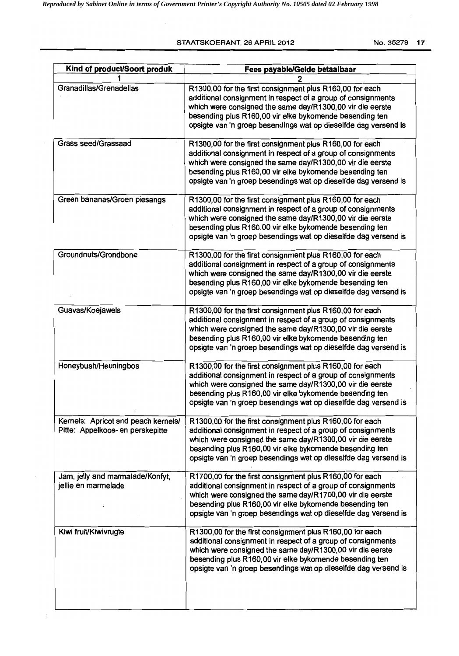| Kind of product/Soort produk                                            | Fees payable/Gelde betaalbaar                                                                                                                                                                                                                                                                                       |
|-------------------------------------------------------------------------|---------------------------------------------------------------------------------------------------------------------------------------------------------------------------------------------------------------------------------------------------------------------------------------------------------------------|
|                                                                         |                                                                                                                                                                                                                                                                                                                     |
| Granadillas/Grenadellas                                                 | R1300,00 for the first consignment plus R160,00 for each<br>additional consignment in respect of a group of consignments<br>which were consigned the same day/R1300,00 vir die eerste<br>besending plus R160,00 vir elke bykomende besending ten<br>opsigte van 'n groep besendings wat op dieselfde dag versend is |
| <b>Grass seed/Grassaad</b>                                              | R1300,00 for the first consignment plus R160,00 for each<br>additional consignment in respect of a group of consignments<br>which were consigned the same day/R1300,00 vir die eerste<br>besending plus R160,00 vir elke bykomende besending ten<br>opsigte van 'n groep besendings wat op dieselfde dag versend is |
| Green bananas/Groen piesangs                                            | R1300,00 for the first consignment plus R160,00 for each<br>additional consignment in respect of a group of consignments<br>which were consigned the same day/R1300,00 vir die eerste<br>besending plus R160,00 vir elke bykomende besending ten<br>opsigte van 'n groep besendings wat op dieselfde dag versend is |
| Groundnuts/Grondbone                                                    | R1300,00 for the first consignment plus R160,00 for each<br>additional consignment in respect of a group of consignments<br>which were consigned the same day/R1300,00 vir die eerste<br>besending plus R160,00 vir elke bykomende besending ten<br>opsigte van 'n groep besendings wat op dieselfde dag versend is |
| Guavas/Koejawels                                                        | R1300,00 for the first consignment plus R160,00 for each<br>additional consignment in respect of a group of consignments<br>which were consigned the same day/R1300,00 vir die eerste<br>besending plus R160,00 vir elke bykomende besending ten<br>opsigte van 'n groep besendings wat op dieselfde dag versend is |
| Honeybush/Heuningbos                                                    | R1300,00 for the first consignment plus R160,00 for each<br>additional consignment in respect of a group of consignments<br>which were consigned the same day/R1300,00 vir die eerste<br>besending plus R160,00 vir elke bykomende besending ten<br>opsigte van 'n groep besendings wat op dieselfde dag versend is |
| Kernels: Apricot and peach kernels/<br>Pitte: Appelkoos- en perskepitte | R1300,00 for the first consignment plus R160,00 for each<br>additional consignment in respect of a group of consignments<br>which were consigned the same day/R1300,00 vir die eerste<br>besending plus R160,00 vir elke bykomende besending ten<br>opsigte van 'n groep besendings wat op dieselfde dag versend is |
| Jam, jelly and marmalade/Konfyt,<br>jellie en marmelade                 | R1700,00 for the first consignment plus R160,00 for each<br>additional consignment in respect of a group of consignments<br>which were consigned the same day/R1700,00 vir die eerste<br>besending plus R160,00 vir elke bykomende besending ten<br>opsigte van 'n groep besendings wat op dieselfde dag versend is |
| Kiwi fruit/Kiwivrugte                                                   | R1300,00 for the first consignment plus R160,00 for each<br>additional consignment in respect of a group of consignments<br>which were consigned the same day/R1300,00 vir die eerste<br>besending plus R160,00 vir elke bykomende besending ten<br>opsigte van 'n groep besendings wat op dieselfde dag versend is |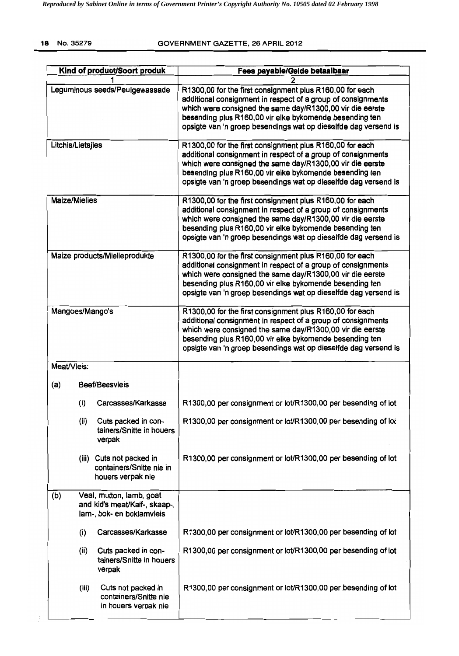18 No.35279 GOVERNMENT GAZETTE, 26 APRIL 2012

| Kind of product/Soort produk   |       |                                                                                        | Fees payable/Gelde betaalbaar                                                                                                                                                                                                                                                                                       |
|--------------------------------|-------|----------------------------------------------------------------------------------------|---------------------------------------------------------------------------------------------------------------------------------------------------------------------------------------------------------------------------------------------------------------------------------------------------------------------|
|                                |       |                                                                                        |                                                                                                                                                                                                                                                                                                                     |
| Leguminous seeds/Peulgewassade |       |                                                                                        | R1300,00 for the first consignment plus R160,00 for each<br>additional consignment in respect of a group of consignments<br>which were consigned the same day/R1300,00 vir die eerste<br>besending plus R160,00 vir elke bykomende besending ten<br>opsigte van 'n groep besendings wat op dieselfde dag versend is |
| Litchis/Lietsjies              |       |                                                                                        | R1300,00 for the first consignment plus R160,00 for each<br>additional consignment in respect of a group of consignments<br>which were consigned the same day/R1300,00 vir die eerste<br>besending plus R160,00 vir elke bykomende besending ten<br>opsigte van 'n groep besendings wat op dieselfde dag versend is |
| Maize/Mielies                  |       |                                                                                        | R1300,00 for the first consignment plus R160,00 for each<br>additional consignment in respect of a group of consignments<br>which were consigned the same day/R1300,00 vir die eerste<br>besending plus R160,00 vir elke bykomende besending ten<br>opsigte van 'n groep besendings wat op dieselfde dag versend is |
| Maize products/Mielieprodukte  |       |                                                                                        | R1300,00 for the first consignment plus R160,00 for each<br>additional consignment in respect of a group of consignments<br>which were consigned the same day/R1300,00 vir die eerste<br>besending plus R160,00 vir elke bykomende besending ten<br>opsigte van 'n groep besendings wat op dieselfde dag versend is |
| Mangoes/Mango's                |       |                                                                                        | R1300,00 for the first consignment plus R160,00 for each<br>additional consignment in respect of a group of consignments<br>which were consigned the same day/R1300,00 vir die eerste<br>besending plus R160,00 vir elke bykomende besending ten<br>opsigte van 'n groep besendings wat op dieselfde dag versend is |
| Meat/Vleis:                    |       |                                                                                        |                                                                                                                                                                                                                                                                                                                     |
| (a)                            |       | Beef/Beesvleis                                                                         |                                                                                                                                                                                                                                                                                                                     |
|                                | (i)   | Carcasses/Karkasse                                                                     | R1300,00 per consignment or lot/R1300,00 per besending of lot                                                                                                                                                                                                                                                       |
|                                | (ii)  | Cuts packed in con-<br>tainers/Snitte in houers<br>verpak                              | R1300,00 per consignment or lot/R1300,00 per besending of lot                                                                                                                                                                                                                                                       |
|                                |       | (iii) Cuts not packed in<br>containers/Snitte nie in<br>houers verpak nie              | R1300,00 per consignment or lot/R1300,00 per besending of lot                                                                                                                                                                                                                                                       |
| (b)                            |       | Veal, mutton, lamb, goat<br>and kid's meat/Kalf-, skaap-,<br>lam-, bok- en boklamvleis |                                                                                                                                                                                                                                                                                                                     |
|                                | (i)   | Carcasses/Karkasse                                                                     | R1300,00 per consignment or lot/R1300,00 per besending of lot                                                                                                                                                                                                                                                       |
|                                | (ii)  | Cuts packed in con-<br>tainers/Snitte in houers<br>verpak                              | R1300,00 per consignment or lot/R1300,00 per besending of lot                                                                                                                                                                                                                                                       |
|                                | (iii) | Cuts not packed in<br>containers/Snitte nie<br>in houers verpak nie                    | R1300,00 per consignment or lot/R1300,00 per besending of lot                                                                                                                                                                                                                                                       |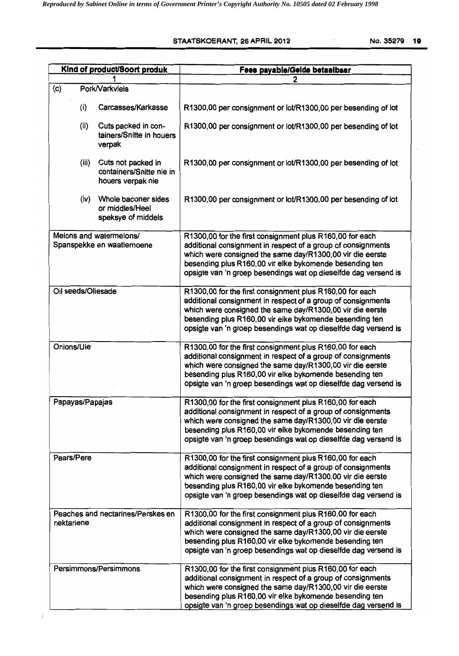| Kind of product/Soort produk                         |       |                                                                     | Fees payable/Gelde betaalbaar                                                                                                                                                                                                                                                                                       |
|------------------------------------------------------|-------|---------------------------------------------------------------------|---------------------------------------------------------------------------------------------------------------------------------------------------------------------------------------------------------------------------------------------------------------------------------------------------------------------|
|                                                      |       |                                                                     | 2                                                                                                                                                                                                                                                                                                                   |
| (c)                                                  |       | <b>Pork/Varkvleis</b>                                               |                                                                                                                                                                                                                                                                                                                     |
|                                                      | (i)   | Carcasses/Karkasse                                                  | R1300,00 per consignment or lot/R1300,00 per besending of lot                                                                                                                                                                                                                                                       |
|                                                      | (ii)  | Cuts packed in con-<br>tainers/Snitte in houers<br>verpak           | R1300,00 per consignment or lot/R1300,00 per besending of lot                                                                                                                                                                                                                                                       |
|                                                      | (iii) | Cuts not packed in<br>containers/Snitte nie in<br>houers verpak nie | R1300,00 per consignment or lot/R1300,00 per besending of lot                                                                                                                                                                                                                                                       |
|                                                      | (iv)  | Whole baconer sides<br>or middles/Heel<br>speksye of middels        | R1300,00 per consignment or lot/R1300,00 per besending of lot                                                                                                                                                                                                                                                       |
| Melons and watermelons/<br>Spanspekke en waatlemoene |       |                                                                     | R1300,00 for the first consignment plus R160,00 for each<br>additional consignment in respect of a group of consignments<br>which were consigned the same day/R1300,00 vir die eerste<br>besending plus R160,00 vir elke bykomende besending ten<br>opsigte van 'n groep besendings wat op dieselfde dag versend is |
| Oil seeds/Oliesade                                   |       |                                                                     | R1300,00 for the first consignment plus R160,00 for each<br>additional consignment in respect of a group of consignments<br>which were consigned the same day/R1300,00 vir die eerste<br>besending plus R160,00 vir elke bykomende besending ten<br>opsigte van 'n groep besendings wat op dieselfde dag versend is |
| Onions/Uie                                           |       |                                                                     | R1300,00 for the first consignment plus R160,00 for each<br>additional consignment in respect of a group of consignments<br>which were consigned the same day/R1300,00 vir die eerste<br>besending plus R160,00 vir elke bykomende besending ten<br>opsigte van 'n groep besendings wat op dieselfde dag versend is |
| Papayas/Papajas                                      |       |                                                                     | R1300,00 for the first consignment plus R160,00 for each<br>additional consignment in respect of a group of consignments<br>which were consigned the same day/R1300,00 vir die eerste<br>besending plus R160,00 vir elke bykomende besending ten<br>opsigte van 'n groep besendings wat op dieselfde dag versend is |
| Pears/Pere                                           |       |                                                                     | R1300,00 for the first consignment plus R160,00 for each<br>additional consignment in respect of a group of consignments<br>which were consigned the same day/R1300,00 vir die eerste<br>besending plus R160,00 vir elke bykomende besending ten<br>opsigte van 'n groep besendings wat op dieselfde dag versend is |
| Peaches and nectarines/Perskes en<br>nektariene      |       |                                                                     | R1300,00 for the first consignment plus R160,00 for each<br>additional consignment in respect of a group of consignments<br>which were consigned the same day/R1300,00 vir die eerste<br>besending plus R160,00 vir elke bykomende besending ten<br>opsigte van 'n groep besendings wat op dieselfde dag versend is |
| Persimmons/Persimmons                                |       |                                                                     | R1300,00 for the first consignment plus R160,00 for each<br>additional consignment in respect of a group of consignments<br>which were consigned the same day/R1300,00 vir die eerste<br>besending plus R160,00 vir elke bykomende besending ten<br>opsigte van 'n groep besendings wat op dieselfde dag versend is |

 $\mathcal{I}$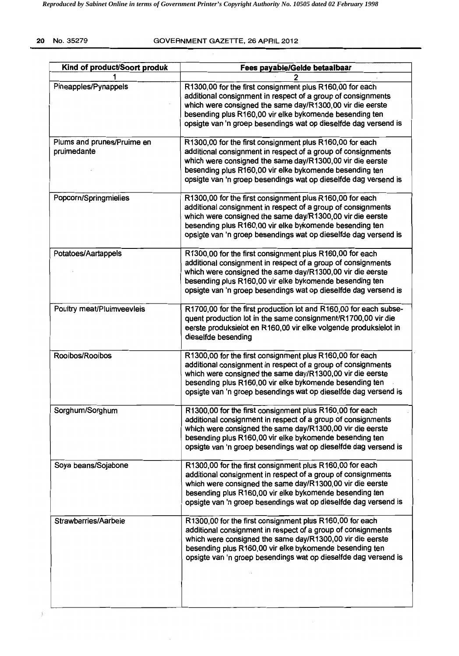$\mathfrak{f}$ 

20 No. 35279 **GOVERNMENT GAZETTE, 26 APRIL 2012** 

| Kind of product/Soort produk              | Fees payable/Gelde betaalbaar                                                                                                                                                                                                                                                                                       |
|-------------------------------------------|---------------------------------------------------------------------------------------------------------------------------------------------------------------------------------------------------------------------------------------------------------------------------------------------------------------------|
|                                           |                                                                                                                                                                                                                                                                                                                     |
| Pineapples/Pynappels                      | R1300,00 for the first consignment plus R160,00 for each<br>additional consignment in respect of a group of consignments<br>which were consigned the same day/R1300,00 vir die eerste<br>besending plus R160,00 vir elke bykomende besending ten<br>opsigte van 'n groep besendings wat op dieselfde dag versend is |
| Plums and prunes/Pruime en<br>pruimedante | R1300,00 for the first consignment plus R160,00 for each<br>additional consignment in respect of a group of consignments<br>which were consigned the same day/R1300,00 vir die eerste<br>besending plus R160,00 vir elke bykomende besending ten<br>opsigte van 'n groep besendings wat op dieselfde dag versend is |
| Popcorn/Springmielies                     | R1300,00 for the first consignment plus R160,00 for each<br>additional consignment in respect of a group of consignments<br>which were consigned the same day/R1300,00 vir die eerste<br>besending plus R160,00 vir elke bykomende besending ten<br>opsigte van 'n groep besendings wat op dieselfde dag versend is |
| Potatoes/Aartappels                       | R1300,00 for the first consignment plus R160,00 for each<br>additional consignment in respect of a group of consignments<br>which were consigned the same day/R1300,00 vir die eerste<br>besending plus R160,00 vir elke bykomende besending ten<br>opsigte van 'n groep besendings wat op dieselfde dag versend is |
| Poultry meat/Pluimveevleis                | R1700,00 for the first production lot and R160,00 for each subse-<br>quent production lot in the same consignment/R1700,00 vir die<br>eerste produksielot en R160,00 vir elke volgende produksielot in<br>dieselfde besending                                                                                       |
| Rooibos/Rooibos                           | R1300,00 for the first consignment plus R160,00 for each<br>additional consignment in respect of a group of consignments<br>which were consigned the same day/R1300,00 vir die eerste<br>besending plus R160,00 vir elke bykomende besending ten<br>opsigte van 'n groep besendings wat op dieselfde dag versend is |
| Sorghum/Sorghum                           | R1300,00 for the first consignment plus R160,00 for each<br>additional consignment in respect of a group of consignments<br>which were consigned the same day/R1300,00 vir die eerste<br>besending plus R160,00 vir elke bykomende besending ten<br>opsigte van 'n groep besendings wat op dieselfde dag versend is |
| Soya beans/Sojabone                       | R1300,00 for the first consignment plus R160,00 for each<br>additional consignment in respect of a group of consignments<br>which were consigned the same day/R1300,00 vir die eerste<br>besending plus R160,00 vir elke bykomende besending ten<br>opsigte van 'n groep besendings wat op dieselfde dag versend is |
| Strawberries/Aarbeie                      | R1300,00 for the first consignment plus R160,00 for each<br>additional consignment in respect of a group of consignments<br>which were consigned the same day/R1300,00 vir die eerste<br>besending plus R160,00 vir elke bykomende besending ten<br>opsigte van 'n groep besendings wat op dieselfde dag versend is |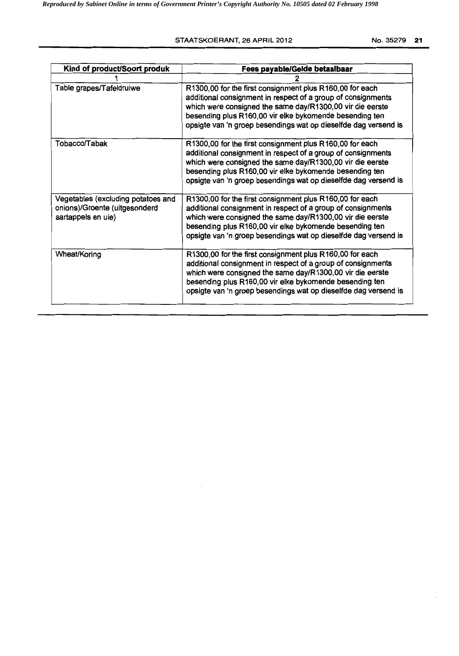| Kind of product/Soort produk                                                              | Fees payable/Gelde betaalbaar                                                                                                                                                                                                                                                                                       |
|-------------------------------------------------------------------------------------------|---------------------------------------------------------------------------------------------------------------------------------------------------------------------------------------------------------------------------------------------------------------------------------------------------------------------|
|                                                                                           |                                                                                                                                                                                                                                                                                                                     |
| Table grapes/Tafeldruiwe                                                                  | R1300,00 for the first consignment plus R160,00 for each<br>additional consignment in respect of a group of consignments<br>which were consigned the same day/R1300,00 vir die eerste<br>besending plus R160,00 vir elke bykomende besending ten<br>opsigte van 'n groep besendings wat op dieselfde dag versend is |
| Tobacco/Tabak                                                                             | R1300,00 for the first consignment plus R160,00 for each<br>additional consignment in respect of a group of consignments<br>which were consigned the same day/R1300,00 vir die eerste<br>besending plus R160,00 vir elke bykomende besending ten<br>opsigte van 'n groep besendings wat op dieselfde dag versend is |
| Vegetables (excluding potatoes and<br>onions)/Groente (uitgesonderd<br>aartappels en uie) | R1300,00 for the first consignment plus R160,00 for each<br>additional consignment in respect of a group of consignments<br>which were consigned the same day/R1300,00 vir die eerste<br>besending plus R160,00 vir elke bykomende besending ten<br>opsigte van 'n groep besendings wat op dieselfde dag versend is |
| Wheat/Koring                                                                              | R1300,00 for the first consignment plus R160,00 for each<br>additional consignment in respect of a group of consignments<br>which were consigned the same day/R1300,00 vir die eerste<br>besending plus R160,00 vir elke bykomende besending ten<br>opsigte van 'n groep besendings wat op dieselfde dag versend is |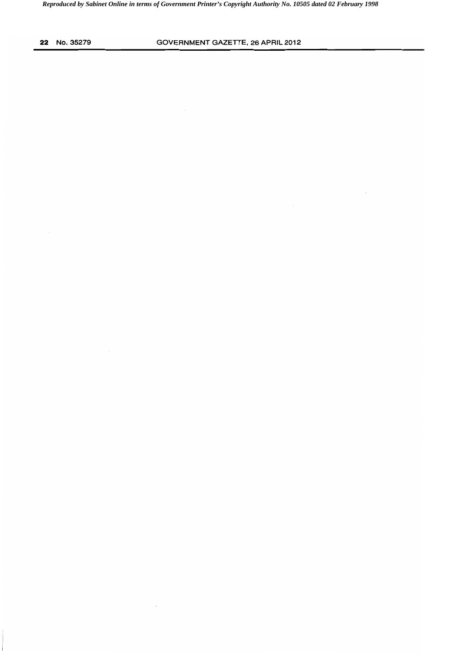$\langle \rangle$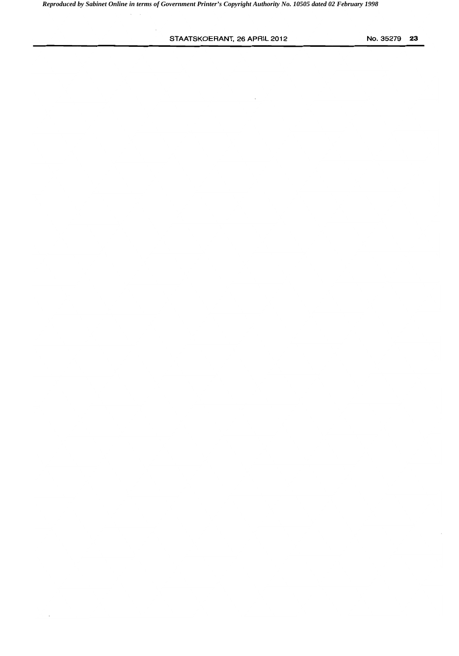$\bar{\beta}$